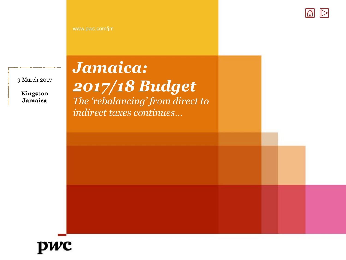

9 March 2017

**Kingston Jamaica**

# *Jamaica:*

*2017/18 Budget* 

*The 'rebalancing' from direct to indirect taxes continues…*

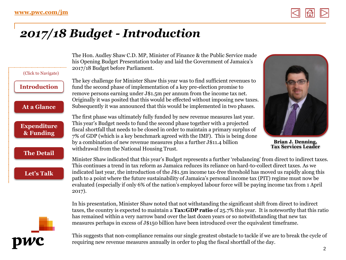

# <span id="page-1-0"></span>*2017/18 Budget - Introduction*

| (Click to Navigate)             | The Hon. Audley Shaw C.D. MP, Minister of Finance & the Public Service made<br>his Opening Budget Presentation today and laid the Government of Jamaica's<br>2017/18 Budget before Parliament.                                                                                                                                                                                                                                                                                                                                                                                             |                                                        |
|---------------------------------|--------------------------------------------------------------------------------------------------------------------------------------------------------------------------------------------------------------------------------------------------------------------------------------------------------------------------------------------------------------------------------------------------------------------------------------------------------------------------------------------------------------------------------------------------------------------------------------------|--------------------------------------------------------|
| <b>Introduction</b>             | The key challenge for Minister Shaw this year was to find sufficient revenues to<br>fund the second phase of implementation of a key pre-election promise to<br>remove persons earning under J\$1.5m per annum from the income tax net.                                                                                                                                                                                                                                                                                                                                                    |                                                        |
| At a Glance                     | Originally it was posited that this would be effected without imposing new taxes.<br>Subsequently it was announced that this would be implemented in two phases.                                                                                                                                                                                                                                                                                                                                                                                                                           |                                                        |
| <b>Expenditure</b><br>& Funding | The first phase was ultimately fully funded by new revenue measures last year.<br>This year's Budget needs to fund the second phase together with a projected<br>fiscal shortfall that needs to be closed in order to maintain a primary surplus of<br>7% of GDP (which is a key benchmark agreed with the IMF). This is being done<br>by a combination of new revenue measures plus a further J\$11.4 billion<br>withdrawal from the National Housing Trust.                                                                                                                              | <b>Brian J. Denning,</b><br><b>Tax Services Leader</b> |
| <b>The Detail</b><br>Let's Talk | Minister Shaw indicated that this year's Budget represents a further 'rebalancing' from direct to indirect taxes.<br>This continues a trend in tax reform as Jamaica reduces its reliance on hard-to-collect direct taxes. As we<br>indicated last year, the introduction of the J\$1.5m income tax-free threshold has moved us rapidly along this<br>path to a point where the future sustainability of Jamaica's personal income tax (PIT) regime must now be<br>evaluated (especially if only 6% of the nation's employed labour force will be paying income tax from 1 April<br>2017). |                                                        |
|                                 | In his presentation, Minister Shaw noted that not withstanding the significant shift from direct to indirect<br>taxes, the country is expected to maintain a Tax:GDP ratio of 25.7% this year. It is noteworthy that this ratio<br>has remained within a very narrow band over the last dozen years or so notwithstanding that new tax<br>measures perhaps in excess of J\$150 billion have been introduced over the equivalent timeframe.                                                                                                                                                 |                                                        |



This suggests that non-compliance remains our single greatest obstacle to tackle if we are to break the cycle of requiring new revenue measures annually in order to plug the fiscal shortfall of the day.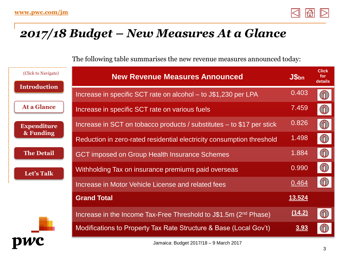

#### <span id="page-2-0"></span>*2017/18 Budget – New Measures At a Glance*

The following table summarises the new revenue measures announced today:

| (Click to Navigate)             | <b>New Revenue Measures Announced</b>                                        | J\$ <sub>bn</sub> | <b>Click</b><br>for<br>details                |
|---------------------------------|------------------------------------------------------------------------------|-------------------|-----------------------------------------------|
| <b>Introduction</b>             | Increase in specific SCT rate on alcohol – to J\$1,230 per LPA               | 0.403             | $\textcircled{\tiny{1}}$                      |
| At a Glance                     | Increase in specific SCT rate on various fuels                               | 7.459             | $\binom{9}{1}$                                |
| <b>Expenditure</b><br>& Funding | Increase in SCT on tobacco products / substitutes $-$ to \$17 per stick      | 0.826             | $\bigoplus$                                   |
|                                 | Reduction in zero-rated residential electricity consumption threshold        | 1.498             | $\textcircled{\scriptsize{1}}$                |
| <b>The Detail</b>               | <b>GCT imposed on Group Health Insurance Schemes</b>                         | 1.884             | $\begin{smallmatrix} 1 \ 1 \end{smallmatrix}$ |
| Let's Talk                      | Withholding Tax on insurance premiums paid overseas                          | 0.990             | $\binom{9}{1}$                                |
|                                 | Increase in Motor Vehicle License and related fees                           | 0.464             | $\tilde{\mathbb{I}}$                          |
|                                 | <b>Grand Total</b>                                                           | 13.524            |                                               |
|                                 | Increase in the Income Tax-Free Threshold to J\$1.5m (2 <sup>nd</sup> Phase) | (14.2)            | $\ddot{\text{u}}$                             |
|                                 | Modifications to Property Tax Rate Structure & Base (Local Gov't)            | <u>3.93</u>       |                                               |
|                                 | Jamaica: Budget 2017/18 - 9 March 2017                                       |                   |                                               |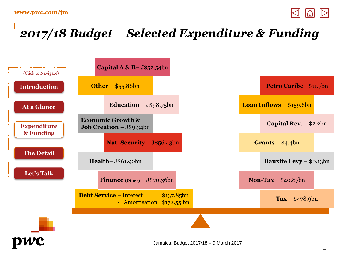

# <span id="page-3-0"></span>*2017/18 Budget – Selected Expenditure & Funding*

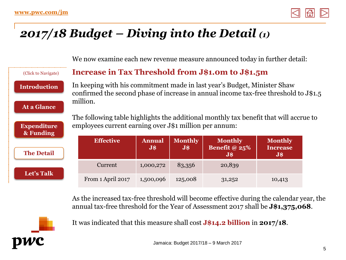(Click to Navigate)

**[Introduction](#page-1-0)**

**[At a Glance](#page-2-0)**

**[Expenditure](#page-3-0) & Funding**

**[The Detail](#page-4-0)**

**[Let's Talk](#page-17-0)**



# <span id="page-4-0"></span>*2017/18 Budget – Diving into the Detail (1)*

We now examine each new revenue measure announced today in further detail:

#### **Increase in Tax Threshold from J\$1.0m to J\$1.5m**

In keeping with his commitment made in last year's Budget, Minister Shaw confirmed the second phase of increase in annual income tax-free threshold to J\$1.5 million.

The following table highlights the additional monthly tax benefit that will accrue to employees current earning over J\$1 million per annum:

| <b>Effective</b>  | <b>Annual</b><br>$\overline{\mathbf{J}}$ \$ | <b>Monthly</b><br>$\bf J$$ | <b>Monthly</b><br>Benefit @ $25%$<br>$\bf J$ \$ | <b>Monthly</b><br><b>Increase</b><br>$J\overline{\$}$ |
|-------------------|---------------------------------------------|----------------------------|-------------------------------------------------|-------------------------------------------------------|
| Current           | 1,000,272                                   | 83,356                     | 20,839                                          |                                                       |
| From 1 April 2017 | 1,500,096                                   | 125,008                    | 31,252                                          | 10,413                                                |

As the increased tax-free threshold will become effective during the calendar year, the annual tax-free threshold for the Year of Assessment 2017 shall be **J\$1,375,068**.



It was indicated that this measure shall cost **J\$14.2 billion** in **2017/18**.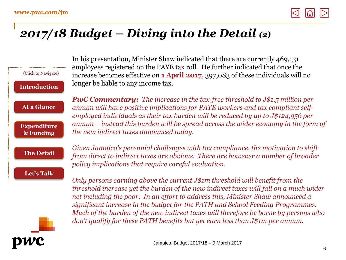

### *2017/18 Budget – Diving into the Detail (2)*

| (Click to Navigate)<br><b>Introduction</b>            | In his presentation, Minister Shaw indicated that there are currently 469,131<br>employees registered on the PAYE tax roll. He further indicated that once the<br>increase becomes effective on <b>1 April 2017</b> , 397,083 of these individuals will no<br>longer be liable to any income tax.                                                                                                                                                                                                                  |
|-------------------------------------------------------|--------------------------------------------------------------------------------------------------------------------------------------------------------------------------------------------------------------------------------------------------------------------------------------------------------------------------------------------------------------------------------------------------------------------------------------------------------------------------------------------------------------------|
| <b>At a Glance</b><br><b>Expenditure</b><br>& Funding | <b>PwC Commentary:</b> The increase in the tax-free threshold to $J$1.5$ million per<br>annum will have positive implications for PAYE workers and tax compliant self-<br>employed individuals as their tax burden will be reduced by up to $J$124,956$ per<br>$annum$ – instead this burden will be spread across the wider economy in the form of<br>the new indirect taxes announced today.                                                                                                                     |
| <b>The Detail</b>                                     | Given Jamaica's perennial challenges with tax compliance, the motivation to shift<br>from direct to indirect taxes are obvious. There are however a number of broader<br>policy implications that require careful evaluation.                                                                                                                                                                                                                                                                                      |
| Let's Talk                                            | Only persons earning above the current J\$1m threshold will benefit from the<br>threshold increase yet the burden of the new indirect taxes will fall on a much wider<br>net including the poor. In an effort to address this, Minister Shaw announced a<br>significant increase in the budget for the PATH and School Feeding Programmes.<br>Much of the burden of the new indirect taxes will therefore be borne by persons who<br>don't qualify for these PATH benefits but yet earn less than J\$1m per annum. |
|                                                       | Jamaica: Budget 2017/18 - 9 March 2017                                                                                                                                                                                                                                                                                                                                                                                                                                                                             |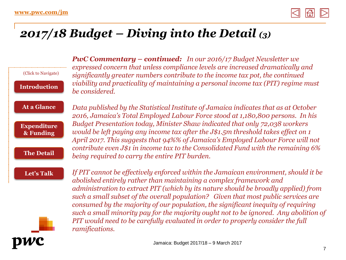

### *2017/18 Budget – Diving into the Detail (3)*

(Click to Navigate) **[Introduction](#page-1-0)** *PwC Commentary – continued: In our 2016/17 Budget Newsletter we expressed concern that unless compliance levels are increased dramatically and significantly greater numbers contribute to the income tax pot, the continued viability and practicality of maintaining a personal income tax (PIT) regime must be considered.* 

#### **[At a Glance](#page-2-0)**

**[Expenditure](#page-3-0) & Funding**

**[The Detail](#page-4-0)**

*Data published by the Statistical Institute of Jamaica indicates that as at October 2016, Jamaica's Total Employed Labour Force stood at 1,180,800 persons. In his Budget Presentation today, Minister Shaw indicated that only 72,038 workers would be left paying any income tax after the J\$1.5m threshold takes effect on 1 April 2017. This suggests that 94%% of Jamaica's Employed Labour Force will not contribute even J\$1 in income tax to the Consolidated Fund with the remaining 6% being required to carry the entire PIT burden.*

**[Let's Talk](#page-17-0)**

*If PIT cannot be effectively enforced within the Jamaican environment, should it be abolished entirely rather than maintaining a complex framework and administration to extract PIT (which by its nature should be broadly applied) from such a small subset of the overall population? Given that most public services are consumed by the majority of our population, the significant inequity of requiring such a small minority pay for the majority ought not to be ignored. Any abolition of PIT would need to be carefully evaluated in order to properly consider the full ramifications.* 

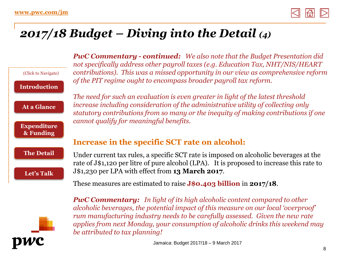

#### *2017/18 Budget – Diving into the Detail (4)*

(Click to Navigate) **[Introduction](#page-1-0) [At a Glance](#page-2-0) [Expenditure](#page-3-0) & Funding [The Detail](#page-4-0) [Let's Talk](#page-17-0)**



*PwC Commentary - continued: We also note that the Budget Presentation did not specifically address other payroll taxes (e.g. Education Tax, NHT/NIS/HEART contributions). This was a missed opportunity in our view as comprehensive reform of the PIT regime ought to encompass broader payroll tax reform.* 

*The need for such an evaluation is even greater in light of the latest threshold increase including consideration of the administrative utility of collecting only statutory contributions from so many or the inequity of making contributions if one cannot qualify for meaningful benefits.* 

#### **Increase in the specific SCT rate on alcohol:**

Under current tax rules, a specific SCT rate is imposed on alcoholic beverages at the rate of J\$1,120 per litre of pure alcohol (LPA). It is proposed to increase this rate to J\$1,230 per LPA with effect from **13 March 2017**.

These measures are estimated to raise **J\$0.403 billion** in **2017/18**.

*PwC Commentary: In light of its high alcoholic content compared to other alcoholic beverages, the potential impact of this measure on our local 'overproof' rum manufacturing industry needs to be carefully assessed. Given the new rate applies from next Monday, your consumption of alcoholic drinks this weekend may be attributed to tax planning!*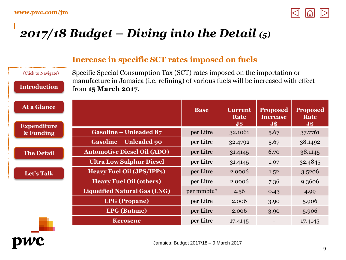

### *2017/18 Budget – Diving into the Detail (5)*

#### **Increase in specific SCT rates imposed on fuels**

#### (Click to Navigate)

**[Introduction](#page-1-0)**

Specific Special Consumption Tax (SCT) rates imposed on the importation or manufacture in Jamaica (i.e. refining) of various fuels will be increased with effect from **15 March 2017**.

| At a Glance                     |                                     | <b>Base</b>            | <b>Current</b><br>Rate<br>$\overline{\mathbf{J}}\mathbf{\hat{s}}$ | <b>Proposed</b><br><b>Increase</b><br>$\bf J\$ | <b>Proposed</b><br>Rate<br>$\overline{\mathbf{J}}\mathbf{\$}$ |
|---------------------------------|-------------------------------------|------------------------|-------------------------------------------------------------------|------------------------------------------------|---------------------------------------------------------------|
| <b>Expenditure</b><br>& Funding | <b>Gasoline – Unleaded 87</b>       | per Litre              | 32.1061                                                           | 5.67                                           | 37.7761                                                       |
|                                 | <b>Gasoline – Unleaded 90</b>       | per Litre              | 32.4792                                                           | 5.67                                           | 38.1492                                                       |
| <b>The Detail</b>               | <b>Automotive Diesel Oil (ADO)</b>  | per Litre              | 31.4145                                                           | 6.70                                           | 38.1145                                                       |
|                                 | <b>Ultra Low Sulphur Diesel</b>     | per Litre              | 31.4145                                                           | 1.07                                           | 32.4845                                                       |
| Let's Talk                      | <b>Heavy Fuel Oil (JPS/IPPs)</b>    | per Litre              | 2.0006                                                            | 1.52                                           | 3.5206                                                        |
|                                 | <b>Heavy Fuel Oil (others)</b>      | per Litre              | 2.0006                                                            | 7.36                                           | 9.3606                                                        |
|                                 | <b>Liqueified Natural Gas (LNG)</b> | per mmbtu <sup>2</sup> | 4.56                                                              | 0.43                                           | 4.99                                                          |
|                                 | <b>LPG</b> (Propane)                | per Litre              | 2.006                                                             | 3.90                                           | 5.906                                                         |
|                                 | <b>LPG</b> (Butane)                 | per Litre              | 2.006                                                             | 3.90                                           | 5.906                                                         |
|                                 | <b>Kerosene</b>                     | per Litre              | 17.4145                                                           |                                                | 17.4145                                                       |

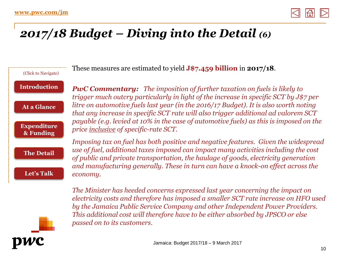

### *2017/18 Budget – Diving into the Detail (6)*

(Click to Navigate) **[Introduction](#page-1-0) [At a Glance](#page-2-0) [Expenditure](#page-3-0) & Funding [The Detail](#page-4-0) [Let's Talk](#page-17-0)**

These measures are estimated to yield **J\$7.459 billion** in **2017/18**.

*PwC Commentary: The imposition of further taxation on fuels is likely to trigger much outcry particularly in light of the increase in specific SCT by J\$7 per litre on automotive fuels last year (in the 2016/17 Budget). It is also worth noting that any increase in specific SCT rate will also trigger additional ad valorem SCT payable (e.g. levied at 10% in the case of automotive fuels) as this is imposed on the price inclusive of specific-rate SCT.* 

*Imposing tax on fuel has both positive and negative features. Given the widespread use of fuel, additional taxes imposed can impact many activities including the cost of public and private transportation, the haulage of goods, electricity generation and manufacturing generally. These in turn can have a knock-on effect across the economy.* 

*The Minister has heeded concerns expressed last year concerning the impact on electricity costs and therefore has imposed a smaller SCT rate increase on HFO used by the Jamaica Public Service Company and other Independent Power Providers. This additional cost will therefore have to be either absorbed by JPSCO or else passed on to its customers.* 

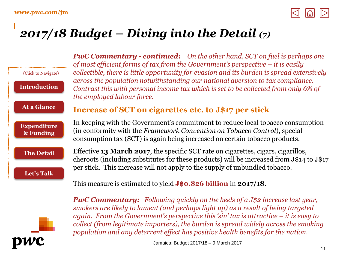pwc



#### *2017/18 Budget – Diving into the Detail (7)*

|                                 | <b>PwC Commentary - continued:</b> On the other hand, SCT on fuel is perhaps one<br>of most efficient forms of tax from the Government's perspective $-$ it is easily                                                                                                                                                                                                                                                                           |
|---------------------------------|-------------------------------------------------------------------------------------------------------------------------------------------------------------------------------------------------------------------------------------------------------------------------------------------------------------------------------------------------------------------------------------------------------------------------------------------------|
| (Click to Navigate)             | collectible, there is little opportunity for evasion and its burden is spread extensively                                                                                                                                                                                                                                                                                                                                                       |
| <b>Introduction</b>             | across the population notwithstanding our national aversion to tax compliance.<br>Contrast this with personal income tax which is set to be collected from only 6% of<br>the employed labour force.                                                                                                                                                                                                                                             |
| At a Glance                     | Increase of SCT on cigarettes etc. to J\$17 per stick                                                                                                                                                                                                                                                                                                                                                                                           |
| <b>Expenditure</b><br>& Funding | In keeping with the Government's commitment to reduce local tobacco consumption<br>(in conformity with the Framework Convention on Tobacco Control), special<br>consumption tax (SCT) is again being increased on certain tobacco products.                                                                                                                                                                                                     |
| <b>The Detail</b><br>Let's Talk | Effective 13 March 2017, the specific SCT rate on cigarettes, cigars, cigarillos,<br>cheroots (including substitutes for these products) will be increased from J\$14 to J\$17<br>per stick. This increase will not apply to the supply of unbundled to bacco.                                                                                                                                                                                  |
|                                 | This measure is estimated to yield $J$0.826$ billion in $2017/18$ .                                                                                                                                                                                                                                                                                                                                                                             |
|                                 | <b>PwC Commentary:</b> Following quickly on the heels of a $J$2$ increase last year,<br>smokers are likely to lament (and perhaps light up) as a result of being targeted<br>again. From the Government's perspective this 'sin' tax is attractive $-$ it is easy to<br>collect (from legitimate importers), the burden is spread widely across the smoking<br>population and any deterrent effect has positive health benefits for the nation. |

Jamaica: Budget 2017/18 – 9 March 2017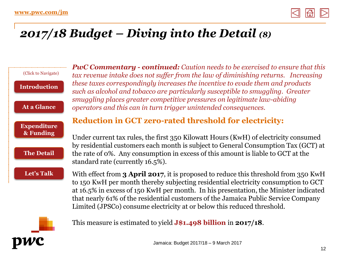

### *2017/18 Budget – Diving into the Detail (8)*



*PwC Commentary - continued: Caution needs to be exercised to ensure that this tax revenue intake does not suffer from the law of diminishing returns. Increasing these taxes correspondingly increases the incentive to evade them and products such as alcohol and tobacco are particularly susceptible to smuggling. Greater smuggling places greater competitive pressures on legitimate law-abiding operators and this can in turn trigger unintended consequences.* 

#### **Reduction in GCT zero-rated threshold for electricity:**

Under current tax rules, the first 350 Kilowatt Hours (KwH) of electricity consumed by residential customers each month is subject to General Consumption Tax (GCT) at the rate of 0%. Any consumption in excess of this amount is liable to GCT at the standard rate (currently 16.5%).

With effect from **3 April 2017**, it is proposed to reduce this threshold from 350 KwH to 150 KwH per month thereby subjecting residential electricity consumption to GCT at 16.5% in excess of 150 KwH per month. In his presentation, the Minister indicated that nearly 61% of the residential customers of the Jamaica Public Service Company Limited (JPSCo) consume electricity at or below this reduced threshold.



This measure is estimated to yield **J\$1.498 billion** in **2017/18**.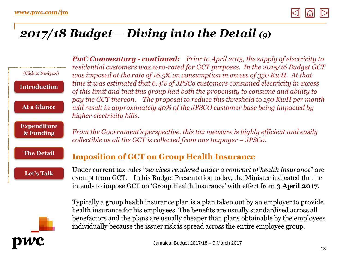

### *2017/18 Budget – Diving into the Detail (9)*

|                                 | <b>PwC Commentary - continued:</b> Prior to April 2015, the supply of electricity to                                                                                                                                                                                  |
|---------------------------------|-----------------------------------------------------------------------------------------------------------------------------------------------------------------------------------------------------------------------------------------------------------------------|
| (Click to Navigate)             | residential customers was zero-rated for GCT purposes. In the 2015/16 Budget GCT<br>was imposed at the rate of 16.5% on consumption in excess of 350 KwH. At that                                                                                                     |
| <b>Introduction</b>             | time it was estimated that 6.4% of JPSCo customers consumed electricity in excess<br>of this limit and that this group had both the propensity to consume and ability to                                                                                              |
| At a Glance                     | pay the GCT thereon. The proposal to reduce this threshold to 150 KwH per month<br>will result in approximately 40% of the JPSCO customer base being impacted by<br>higher electricity bills.                                                                         |
| <b>Expenditure</b><br>& Funding | From the Government's perspective, this tax measure is highly efficient and easily<br>collectible as all the GCT is collected from one taxpayer $-JPSCo$ .                                                                                                            |
| <b>The Detail</b>               | <b>Imposition of GCT on Group Health Insurance</b>                                                                                                                                                                                                                    |
| Let's Talk                      | Under current tax rules "services rendered under a contract of health insurance" are<br>exempt from GCT. In his Budget Presentation today, the Minister indicated that he<br>intends to impose GCT on 'Group Health Insurance' with effect from 3 April 2017.         |
|                                 | Typically a group health insurance plan is a plan taken out by an employer to provide<br>health insurance for his employees. The benefits are usually standardised across all<br>benefactors and the plans are usually cheaper than plans obtainable by the employees |



individually because the issuer risk is spread across the entire employee group.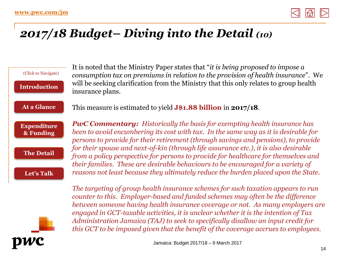

### *2017/18 Budget– Diving into the Detail (10)*

(Click to Navigate) **[Introduction](#page-1-0) [At a Glance](#page-2-0) [Expenditure](#page-3-0) & Funding [The Detail](#page-4-0) [Let's Talk](#page-17-0)**

It is noted that the Ministry Paper states that "*it is being proposed to impose a consumption tax on premiums in relation to the provision of health insurance*". We will be seeking clarification from the Ministry that this only relates to group health insurance plans.

This measure is estimated to yield **J\$1.88 billion** in **2017/18**.

*PwC Commentary: Historically the basis for exempting health insurance has been to avoid encumbering its cost with tax. In the same way as it is desirable for persons to provide for their retirement (through savings and pensions), to provide for their spouse and next-of-kin (through life assurance etc.), it is also desirable from a policy perspective for persons to provide for healthcare for themselves and their families. These are desirable behaviours to be encouraged for a variety of reasons not least because they ultimately reduce the burden placed upon the State.*



*The targeting of group health insurance schemes for such taxation appears to run counter to this. Employer-based and funded schemes may often be the difference between someone having health insurance coverage or not. As many employers are engaged in GCT-taxable activities, it is unclear whether it is the intention of Tax Administration Jamaica (TAJ) to seek to specifically disallow an input credit for this GCT to be imposed given that the benefit of the coverage accrues to employees.*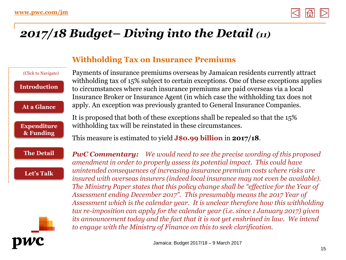

# *2017/18 Budget– Diving into the Detail (11)*

#### **Withholding Tax on Insurance Premiums**

#### (Click to Navigate) **[Introduction](#page-1-0)**

**[At a Glance](#page-2-0)**

**[Expenditure](#page-3-0) & Funding**

Payments of insurance premiums overseas by Jamaican residents currently attract withholding tax of 15% subject to certain exceptions. One of these exceptions applies to circumstances where such insurance premiums are paid overseas via a local Insurance Broker or Insurance Agent (in which case the withholding tax does not apply. An exception was previously granted to General Insurance Companies.

It is proposed that both of these exceptions shall be repealed so that the 15% withholding tax will be reinstated in these circumstances.

This measure is estimated to yield **J\$0.99 billion** in **2017/18**.

#### **[The Detail](#page-4-0)**

**[Let's Talk](#page-17-0)**

*PwC Commentary: We would need to see the precise wording of this proposed amendment in order to properly assess its potential impact. This could have unintended consequences of increasing insurance premium costs where risks are insured with overseas insurers (indeed local insurance may not even be available). The Ministry Paper states that this policy change shall be "effective for the Year of Assessment ending December 2017". This presumably means the 2017 Year of Assessment which is the calendar year. It is unclear therefore how this withholding tax re-imposition can apply for the calendar year (i.e. since 1 January 2017) given its announcement today and the fact that it is not yet enshrined in law. We intend to engage with the Ministry of Finance on this to seek clarification.*

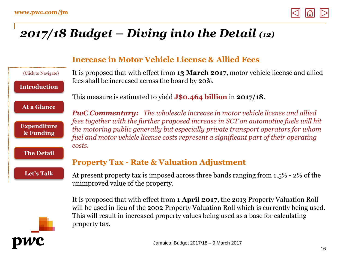

# *2017/18 Budget – Diving into the Detail (12)*

**Increase in Motor Vehicle License & Allied Fees**  It is proposed that with effect from **13 March 2017**, motor vehicle license and allied fees shall be increased across the board by 20%. This measure is estimated to yield **J\$0.464 billion** in **2017/18**. *PwC Commentary: The wholesale increase in motor vehicle license and allied fees together with the further proposed increase in SCT on automotive fuels will hit the motoring public generally but especially private transport operators for whom fuel and motor vehicle license costs represent a significant part of their operating costs.* **Property Tax - Rate & Valuation Adjustment**  At present property tax is imposed across three bands ranging from 1.5% - 2% of the unimproved value of the property. It is proposed that with effect from **1 April 2017**, the 2013 Property Valuation Roll (Click to Navigate) **[Introduction](#page-1-0) [At a Glance](#page-2-0) [Expenditure](#page-3-0) & Funding [The Detail](#page-4-0) [Let's Talk](#page-17-0)**



will be used in lieu of the 2002 Property Valuation Roll which is currently being used. This will result in increased property values being used as a base for calculating property tax.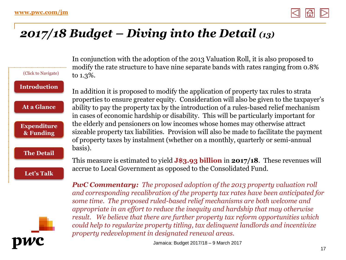

### *2017/18 Budget – Diving into the Detail (13)*

to 1.3%. basis). (Click to Navigate) **[Introduction](#page-1-0) [At a Glance](#page-2-0) [Expenditure](#page-3-0) & Funding [The Detail](#page-4-0) [Let's Talk](#page-17-0)**

In conjunction with the adoption of the 2013 Valuation Roll, it is also proposed to modify the rate structure to have nine separate bands with rates ranging from 0.8%

In addition it is proposed to modify the application of property tax rules to strata properties to ensure greater equity. Consideration will also be given to the taxpayer's ability to pay the property tax by the introduction of a rules-based relief mechanism in cases of economic hardship or disability. This will be particularly important for the elderly and pensioners on low incomes whose homes may otherwise attract sizeable property tax liabilities. Provision will also be made to facilitate the payment of property taxes by instalment (whether on a monthly, quarterly or semi-annual

This measure is estimated to yield **J\$3.93 billion** in **2017/18**. These revenues will accrue to Local Government as opposed to the Consolidated Fund.

*PwC Commentary: The proposed adoption of the 2013 property valuation roll and corresponding recalibration of the property tax rates have been anticipated for some time. The proposed ruled-based relief mechanisms are both welcome and appropriate in an effort to reduce the inequity and hardship that may otherwise result. We believe that there are further property tax reform opportunities which could help to regularize property titling, tax delinquent landlords and incentivize property redevelopment in designated renewal areas.* 

Jamaica: Budget 2017/18 – 9 March 2017